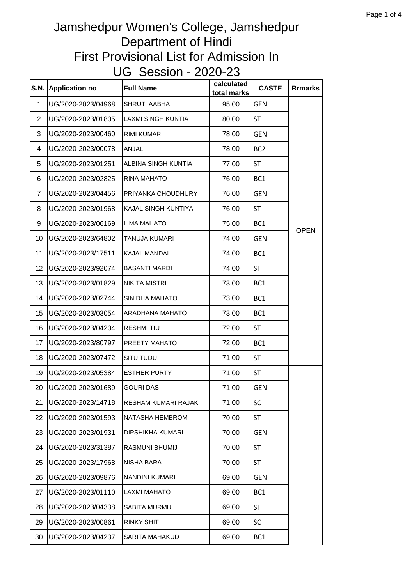| S.N.           | <b>Application no</b> | <b>Full Name</b>          | calculated<br>total marks | <b>CASTE</b>    | <b>Rrmarks</b> |
|----------------|-----------------------|---------------------------|---------------------------|-----------------|----------------|
| 1              | UG/2020-2023/04968    | <b>SHRUTI AABHA</b>       | 95.00                     | <b>GEN</b>      |                |
| $\overline{2}$ | UG/2020-2023/01805    | <b>LAXMI SINGH KUNTIA</b> | 80.00                     | ST              |                |
| 3              | UG/2020-2023/00460    | <b>RIMI KUMARI</b>        | 78.00                     | <b>GEN</b>      |                |
| 4              | UG/2020-2023/00078    | ANJALI                    | 78.00                     | BC <sub>2</sub> |                |
| 5              | UG/2020-2023/01251    | ALBINA SINGH KUNTIA       | 77.00                     | <b>ST</b>       |                |
| 6              | UG/2020-2023/02825    | RINA MAHATO               | 76.00                     | BC1             |                |
| $\overline{7}$ | UG/2020-2023/04456    | PRIYANKA CHOUDHURY        | 76.00                     | <b>GEN</b>      |                |
| 8              | UG/2020-2023/01968    | KAJAL SINGH KUNTIYA       | 76.00                     | <b>ST</b>       |                |
| 9              | UG/2020-2023/06169    | <b>LIMA MAHATO</b>        | 75.00                     | BC1             | <b>OPEN</b>    |
| 10             | UG/2020-2023/64802    | TANUJA KUMARI             | 74.00                     | <b>GEN</b>      |                |
| 11             | UG/2020-2023/17511    | <b>KAJAL MANDAL</b>       | 74.00                     | BC1             |                |
| 12             | UG/2020-2023/92074    | <b>BASANTI MARDI</b>      | 74.00                     | <b>ST</b>       |                |
| 13             | UG/2020-2023/01829    | <b>NIKITA MISTRI</b>      | 73.00                     | BC1             |                |
| 14             | UG/2020-2023/02744    | SINIDHA MAHATO            | 73.00                     | BC1             |                |
| 15             | UG/2020-2023/03054    | ARADHANA MAHATO           | 73.00                     | BC <sub>1</sub> |                |
| 16             | UG/2020-2023/04204    | <b>RESHMITIU</b>          | 72.00                     | ST              |                |
| 17             | UG/2020-2023/80797    | PREETY MAHATO             | 72.00                     | BC <sub>1</sub> |                |
| 18             | UG/2020-2023/07472    | SITU TUDU                 | 71.00                     | <b>ST</b>       |                |
| 19             | UG/2020-2023/05384    | <b>ESTHER PURTY</b>       | 71.00                     | <b>ST</b>       |                |
| 20             | UG/2020-2023/01689    | <b>GOURI DAS</b>          | 71.00                     | <b>GEN</b>      |                |
| 21             | UG/2020-2023/14718    | RESHAM KUMARI RAJAK       | 71.00                     | SC              |                |
| 22             | UG/2020-2023/01593    | NATASHA HEMBROM           | 70.00                     | <b>ST</b>       |                |
| 23             | UG/2020-2023/01931    | DIPSHIKHA KUMARI          | 70.00                     | <b>GEN</b>      |                |
| 24             | UG/2020-2023/31387    | RASMUNI BHUMIJ            | 70.00                     | <b>ST</b>       |                |
| 25             | UG/2020-2023/17968    | NISHA BARA                | 70.00                     | <b>ST</b>       |                |
| 26             | UG/2020-2023/09876    | NANDINI KUMARI            | 69.00                     | GEN             |                |
| 27             | UG/2020-2023/01110    | <b>LAXMI MAHATO</b>       | 69.00                     | BC <sub>1</sub> |                |
| 28             | UG/2020-2023/04338    | <b>SABITA MURMU</b>       | 69.00                     | ST              |                |
| 29             | UG/2020-2023/00861    | <b>RINKY SHIT</b>         | 69.00                     | <b>SC</b>       |                |
| 30             | UG/2020-2023/04237    | SARITA MAHAKUD            | 69.00                     | BC1             |                |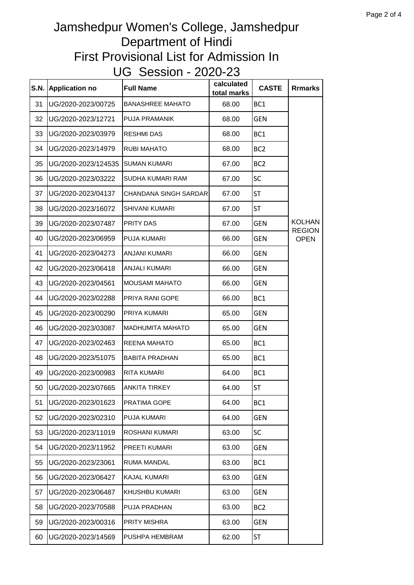| S.N. | <b>Application no</b> | <b>Full Name</b>             | calculated<br>total marks | <b>CASTE</b>    | <b>Rrmarks</b>                 |
|------|-----------------------|------------------------------|---------------------------|-----------------|--------------------------------|
| 31   | UG/2020-2023/00725    | <b>BANASHREE MAHATO</b>      | 68.00                     | BC1             |                                |
| 32   | UG/2020-2023/12721    | <b>PUJA PRAMANIK</b>         | 68.00                     | <b>GEN</b>      |                                |
| 33   | UG/2020-2023/03979    | <b>RESHMI DAS</b>            | 68.00                     | BC1             |                                |
| 34   | UG/2020-2023/14979    | <b>RUBI MAHATO</b>           | 68.00                     | BC <sub>2</sub> |                                |
| 35   | UG/2020-2023/124535   | <b>SUMAN KUMARI</b>          | 67.00                     | BC <sub>2</sub> |                                |
| 36   | UG/2020-2023/03222    | SUDHA KUMARI RAM             | 67.00                     | <b>SC</b>       |                                |
| 37   | UG/2020-2023/04137    | <b>CHANDANA SINGH SARDAR</b> | 67.00                     | <b>ST</b>       |                                |
| 38   | UG/2020-2023/16072    | <b>SHIVANI KUMARI</b>        | 67.00                     | ST              |                                |
| 39   | UG/2020-2023/07487    | <b>PRITY DAS</b>             | 67.00                     | <b>GEN</b>      | <b>KOLHAN</b><br><b>REGION</b> |
| 40   | UG/2020-2023/06959    | <b>PUJA KUMARI</b>           | 66.00                     | <b>GEN</b>      | <b>OPEN</b>                    |
| 41   | UG/2020-2023/04273    | <b>ANJANI KUMARI</b>         | 66.00                     | <b>GEN</b>      |                                |
| 42   | UG/2020-2023/06418    | <b>ANJALI KUMARI</b>         | 66.00                     | <b>GEN</b>      |                                |
| 43   | UG/2020-2023/04561    | <b>MOUSAMI MAHATO</b>        | 66.00                     | <b>GEN</b>      |                                |
| 44   | UG/2020-2023/02288    | <b>PRIYA RANI GOPE</b>       | 66.00                     | BC1             |                                |
| 45   | UG/2020-2023/00290    | PRIYA KUMARI                 | 65.00                     | <b>GEN</b>      |                                |
| 46   | UG/2020-2023/03087    | MADHUMITA MAHATO             | 65.00                     | <b>GEN</b>      |                                |
| 47   | UG/2020-2023/02463    | <b>REENA MAHATO</b>          | 65.00                     | BC <sub>1</sub> |                                |
| 48   | UG/2020-2023/51075    | <b>BABITA PRADHAN</b>        | 65.00                     | BC1             |                                |
| 49   | UG/2020-2023/00983    | <b>RITA KUMARI</b>           | 64.00                     | BC <sub>1</sub> |                                |
| 50   | UG/2020-2023/07665    | <b>ANKITA TIRKEY</b>         | 64.00                     | ST              |                                |
| 51   | UG/2020-2023/01623    | <b>PRATIMA GOPE</b>          | 64.00                     | BC <sub>1</sub> |                                |
| 52   | UG/2020-2023/02310    | <b>PUJA KUMARI</b>           | 64.00                     | <b>GEN</b>      |                                |
| 53   | UG/2020-2023/11019    | ROSHANI KUMARI               | 63.00                     | SC              |                                |
| 54   | UG/2020-2023/11952    | PREETI KUMARI                | 63.00                     | <b>GEN</b>      |                                |
| 55   | UG/2020-2023/23061    | <b>RUMA MANDAL</b>           | 63.00                     | BC1             |                                |
| 56   | UG/2020-2023/06427    | <b>KAJAL KUMARI</b>          | 63.00                     | <b>GEN</b>      |                                |
| 57   | UG/2020-2023/06487    | <b>KHUSHBU KUMARI</b>        | 63.00                     | <b>GEN</b>      |                                |
| 58   | UG/2020-2023/70588    | <b>PUJA PRADHAN</b>          | 63.00                     | BC <sub>2</sub> |                                |
| 59   | UG/2020-2023/00316    | <b>PRITY MISHRA</b>          | 63.00                     | <b>GEN</b>      |                                |
| 60   | UG/2020-2023/14569    | PUSHPA HEMBRAM               | 62.00                     | <b>ST</b>       |                                |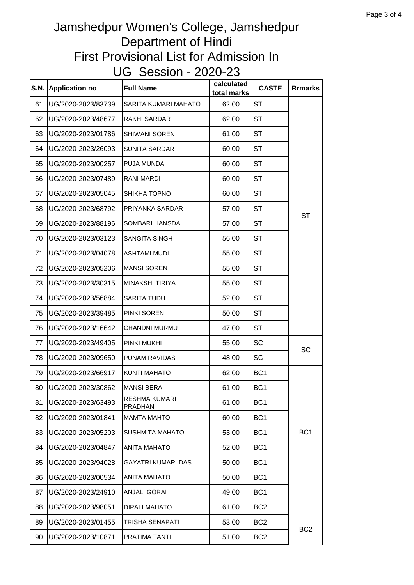| S.N. | <b>Application no</b> | <b>Full Name</b>                       | calculated<br>total marks | <b>CASTE</b>    | <b>Rrmarks</b>  |
|------|-----------------------|----------------------------------------|---------------------------|-----------------|-----------------|
| 61   | UG/2020-2023/83739    | SARITA KUMARI MAHATO                   | 62.00                     | <b>ST</b>       |                 |
| 62   | UG/2020-2023/48677    | RAKHI SARDAR                           | 62.00                     | <b>ST</b>       |                 |
| 63   | UG/2020-2023/01786    | <b>SHIWANI SOREN</b>                   | 61.00                     | <b>ST</b>       |                 |
| 64   | UG/2020-2023/26093    | <b>SUNITA SARDAR</b>                   | 60.00                     | <b>ST</b>       |                 |
| 65   | UG/2020-2023/00257    | PUJA MUNDA                             | 60.00                     | <b>ST</b>       |                 |
| 66   | UG/2020-2023/07489    | <b>RANI MARDI</b>                      | 60.00                     | <b>ST</b>       |                 |
| 67   | UG/2020-2023/05045    | SHIKHA TOPNO                           | 60.00                     | <b>ST</b>       |                 |
| 68   | UG/2020-2023/68792    | PRIYANKA SARDAR                        | 57.00                     | <b>ST</b>       | <b>ST</b>       |
| 69   | UG/2020-2023/88196    | SOMBARI HANSDA                         | 57.00                     | <b>ST</b>       |                 |
| 70   | UG/2020-2023/03123    | <b>SANGITA SINGH</b>                   | 56.00                     | <b>ST</b>       |                 |
| 71   | UG/2020-2023/04078    | <b>ASHTAMI MUDI</b>                    | 55.00                     | <b>ST</b>       |                 |
| 72   | UG/2020-2023/05206    | <b>MANSI SOREN</b>                     | 55.00                     | <b>ST</b>       |                 |
| 73   | UG/2020-2023/30315    | <b>MINAKSHI TIRIYA</b>                 | 55.00                     | <b>ST</b>       |                 |
| 74   | UG/2020-2023/56884    | <b>SARITA TUDU</b>                     | 52.00                     | <b>ST</b>       |                 |
| 75   | UG/2020-2023/39485    | PINKI SOREN                            | 50.00                     | <b>ST</b>       |                 |
| 76   | UG/2020-2023/16642    | CHANDNI MURMU                          | 47.00                     | <b>ST</b>       |                 |
| 77   | UG/2020-2023/49405    | PINKI MUKHI                            | 55.00                     | <b>SC</b>       | SC              |
| 78   | UG/2020-2023/09650    | <b>PUNAM RAVIDAS</b>                   | 48.00                     | <b>SC</b>       |                 |
| 79   | UG/2020-2023/66917    | <b>KUNTI MAHATO</b>                    | 62.00                     | BC <sub>1</sub> |                 |
| 80   | UG/2020-2023/30862    | <b>MANSI BERA</b>                      | 61.00                     | BC <sub>1</sub> |                 |
| 81   | UG/2020-2023/63493    | <b>RESHMA KUMARI</b><br><b>PRADHAN</b> | 61.00                     | BC <sub>1</sub> |                 |
| 82   | UG/2020-2023/01841    | <b>MAMTA MAHTO</b>                     | 60.00                     | BC <sub>1</sub> |                 |
| 83   | UG/2020-2023/05203    | <b>SUSHMITA MAHATO</b>                 | 53.00                     | BC <sub>1</sub> | BC <sub>1</sub> |
| 84   | UG/2020-2023/04847    | <b>ANITA MAHATO</b>                    | 52.00                     | BC <sub>1</sub> |                 |
| 85   | UG/2020-2023/94028    | <b>GAYATRI KUMARI DAS</b>              | 50.00                     | BC <sub>1</sub> |                 |
| 86   | UG/2020-2023/00534    | <b>ANITA MAHATO</b>                    | 50.00                     | BC <sub>1</sub> |                 |
| 87   | UG/2020-2023/24910    | <b>ANJALI GORAI</b>                    | 49.00                     | BC <sub>1</sub> |                 |
| 88   | UG/2020-2023/98051    | DIPALI MAHATO                          | 61.00                     | BC <sub>2</sub> |                 |
| 89   | UG/2020-2023/01455    | TRISHA SENAPATI                        | 53.00                     | BC <sub>2</sub> |                 |
| 90   | UG/2020-2023/10871    | <b>PRATIMA TANTI</b>                   | 51.00                     | BC <sub>2</sub> | BC <sub>2</sub> |